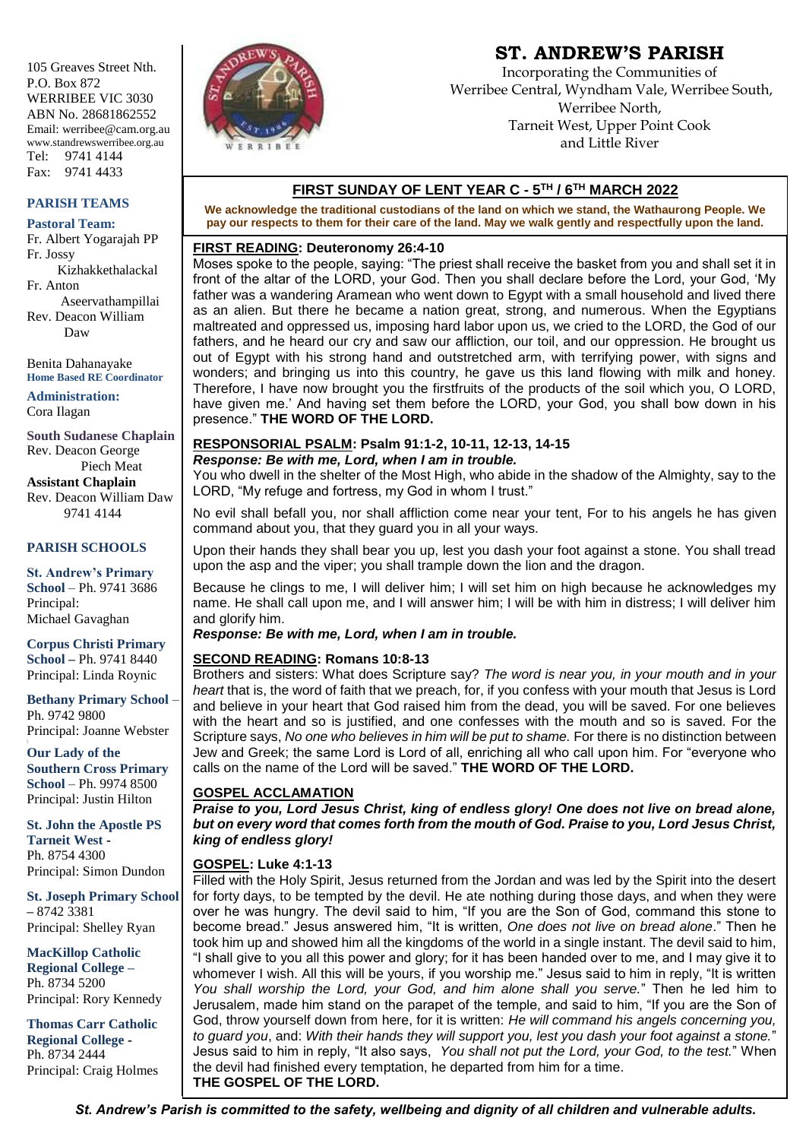105 Greaves Street Nth. P.O. Box 872 WERRIBEE VIC 3030 ABN No. 28681862552 Email: werribee@cam.org.au www.standrewswerribee.org.au Tel: 9741 4144 Fax: 9741 4433

#### **PARISH TEAMS**

#### **Pastoral Team:**

Fr. Albert Yogarajah PP Fr. Jossy Kizhakkethalackal Fr. Anton Aseervathampillai Rev. Deacon William Daw

Benita Dahanayake **Home Based RE Coordinator**

**Administration:** Cora Ilagan

**South Sudanese Chaplain** Rev. Deacon George Piech Meat **Assistant Chaplain** Rev. Deacon William Daw 9741 4144

#### **PARISH SCHOOLS**

**St. Andrew's Primary School** – Ph. 9741 3686 Principal: Michael Gavaghan

**Corpus Christi Primary School –** Ph. 9741 8440 Principal: Linda Roynic

**Bethany Primary School** – Ph. 9742 9800 Principal: Joanne Webster

**Our Lady of the Southern Cross Primary School** – Ph. 9974 8500 Principal: Justin Hilton

**St. John the Apostle PS Tarneit West -** Ph. 8754 4300 Principal: Simon Dundon

**St. Joseph Primary School –** 8742 3381 Principal: Shelley Ryan

**MacKillop Catholic Regional College –** Ph. 8734 5200 Principal: Rory Kennedy

**Thomas Carr Catholic Regional College -** Ph. 8734 2444 Principal: Craig Holmes



# **ST. ANDREW'S PARISH**

Incorporating the Communities of Werribee Central, Wyndham Vale, Werribee South, Werribee North, Tarneit West, Upper Point Cook and Little River

## **FIRST SUNDAY OF LENT YEAR C - 5 TH / 6 TH MARCH 2022**

**We acknowledge the traditional custodians of the land on which we stand, the Wathaurong People. We pay our respects to them for their care of the land. May we walk gently and respectfully upon the land.**

#### **FIRST READING: Deuteronomy 26:4-10**

Moses spoke to the people, saying: "The priest shall receive the basket from you and shall set it in front of the altar of the LORD, your God. Then you shall declare before the Lord, your God, 'My father was a wandering Aramean who went down to Egypt with a small household and lived there as an alien. But there he became a nation great, strong, and numerous. When the Egyptians maltreated and oppressed us, imposing hard labor upon us, we cried to the LORD, the God of our fathers, and he heard our cry and saw our affliction, our toil, and our oppression. He brought us out of Egypt with his strong hand and outstretched arm, with terrifying power, with signs and wonders; and bringing us into this country, he gave us this land flowing with milk and honey. Therefore, I have now brought you the firstfruits of the products of the soil which you, O LORD, have given me.' And having set them before the LORD, your God, you shall bow down in his presence." **THE WORD OF THE LORD.**

#### **RESPONSORIAL PSALM: Psalm 91:1-2, 10-11, 12-13, 14-15** *Response: Be with me, Lord, when I am in trouble.*

You who dwell in the shelter of the Most High, who abide in the shadow of the Almighty, say to the LORD, "My refuge and fortress, my God in whom I trust."

No evil shall befall you, nor shall affliction come near your tent, For to his angels he has given command about you, that they guard you in all your ways.

Upon their hands they shall bear you up, lest you dash your foot against a stone. You shall tread upon the asp and the viper; you shall trample down the lion and the dragon.

Because he clings to me, I will deliver him; I will set him on high because he acknowledges my name. He shall call upon me, and I will answer him; I will be with him in distress; I will deliver him and glorify him.

#### *Response: Be with me, Lord, when I am in trouble.*

### **SECOND READING: Romans 10:8-13**

Brothers and sisters: What does Scripture say? *The word is near you, in your mouth and in your heart* that is, the word of faith that we preach, for, if you confess with your mouth that Jesus is Lord and believe in your heart that God raised him from the dead, you will be saved. For one believes with the heart and so is justified, and one confesses with the mouth and so is saved. For the Scripture says, *No one who believes in him will be put to shame.* For there is no distinction between Jew and Greek; the same Lord is Lord of all, enriching all who call upon him. For "everyone who calls on the name of the Lord will be saved." **THE WORD OF THE LORD.**

### **GOSPEL ACCLAMATION**

*Praise to you, Lord Jesus Christ, king of endless glory! One does not live on bread alone, but on every word that comes forth from the mouth of God. Praise to you, Lord Jesus Christ, king of endless glory!*

### **GOSPEL: Luke 4:1-13**

Filled with the Holy Spirit, Jesus returned from the Jordan and was led by the Spirit into the desert for forty days, to be tempted by the devil. He ate nothing during those days, and when they were over he was hungry. The devil said to him, "If you are the Son of God, command this stone to become bread." Jesus answered him, "It is written, *One does not live on bread alone*." Then he took him up and showed him all the kingdoms of the world in a single instant. The devil said to him, "I shall give to you all this power and glory; for it has been handed over to me, and I may give it to whomever I wish. All this will be yours, if you worship me." Jesus said to him in reply, "It is written *You shall worship the Lord, your God, and him alone shall you serve.*" Then he led him to Jerusalem, made him stand on the parapet of the temple, and said to him, "If you are the Son of God, throw yourself down from here, for it is written: *He will command his angels concerning you, to guard you*, and: *With their hands they will support you, lest you dash your foot against a stone.*" Jesus said to him in reply, "It also says, *You shall not put the Lord, your God, to the test.*" When the devil had finished every temptation, he departed from him for a time. **THE GOSPEL OF THE LORD.**

*St. Andrew's Parish is committed to the safety, wellbeing and dignity of all children and vulnerable adults.*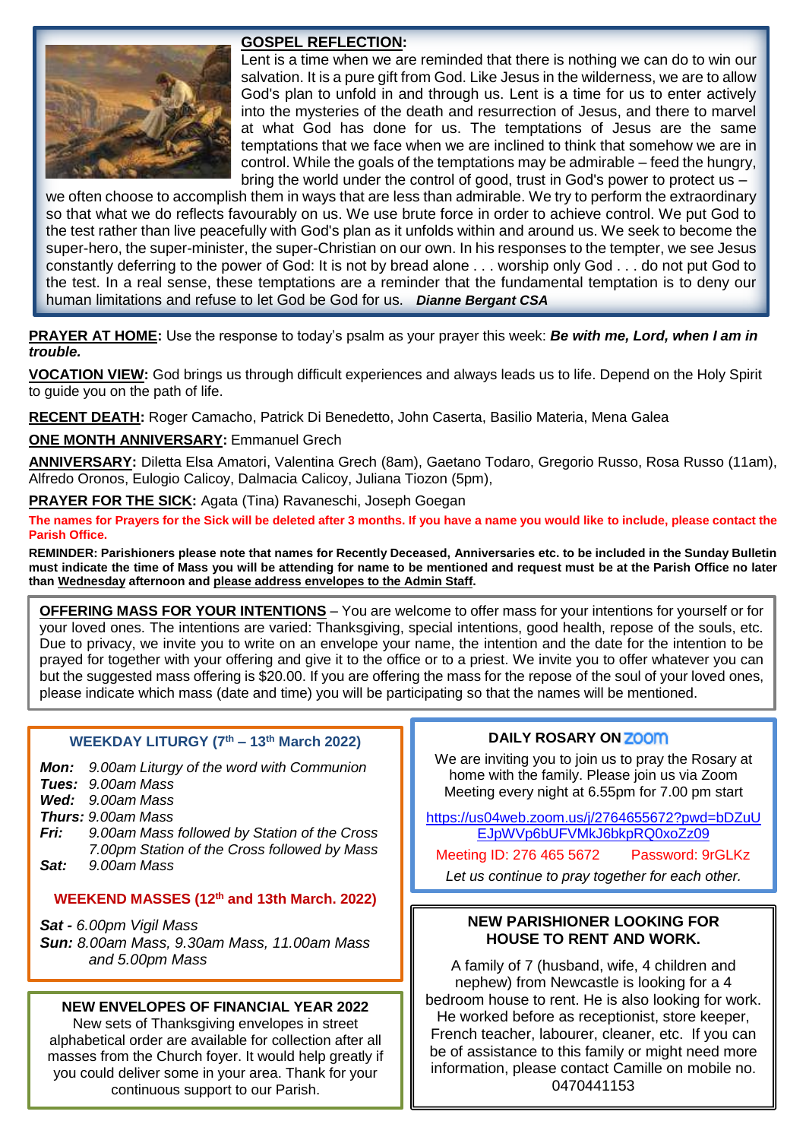### **GOSPEL REFLECTION:**



Lent is a time when we are reminded that there is nothing we can do to win our salvation. It is a pure gift from God. Like Jesus in the wilderness, we are to allow God's plan to unfold in and through us. Lent is a time for us to enter actively into the mysteries of the death and resurrection of Jesus, and there to marvel at what God has done for us. The temptations of Jesus are the same temptations that we face when we are inclined to think that somehow we are in control. While the goals of the temptations may be admirable – feed the hungry, bring the world under the control of good, trust in God's power to protect us –

we often choose to accomplish them in ways that are less than admirable. We try to perform the extraordinary so that what we do reflects favourably on us. We use brute force in order to achieve control. We put God to the test rather than live peacefully with God's plan as it unfolds within and around us. We seek to become the super-hero, the super-minister, the super-Christian on our own. In his responses to the tempter, we see Jesus constantly deferring to the power of God: It is not by bread alone . . . worship only God . . . do not put God to the test. In a real sense, these temptations are a reminder that the fundamental temptation is to deny our human limitations and refuse to let God be God for us. *Dianne Bergant CSA*

**PRAYER AT HOME:** Use the response to today's psalm as your prayer this week: *Be with me, Lord, when I am in trouble.*

**VOCATION VIEW:** God brings us through difficult experiences and always leads us to life. Depend on the Holy Spirit to guide you on the path of life.

**RECENT DEATH:** Roger Camacho, Patrick Di Benedetto, John Caserta, Basilio Materia, Mena Galea

**ONE MONTH ANNIVERSARY:** Emmanuel Grech

**ANNIVERSARY:** Diletta Elsa Amatori, Valentina Grech (8am), Gaetano Todaro, Gregorio Russo, Rosa Russo (11am), Alfredo Oronos, Eulogio Calicoy, Dalmacia Calicoy, Juliana Tiozon (5pm),

**PRAYER FOR THE SICK:** Agata (Tina) Ravaneschi, Joseph Goegan

**The names for Prayers for the Sick will be deleted after 3 months. If you have a name you would like to include, please contact the Parish Office.**

**REMINDER: Parishioners please note that names for Recently Deceased, Anniversaries etc. to be included in the Sunday Bulletin must indicate the time of Mass you will be attending for name to be mentioned and request must be at the Parish Office no later than Wednesday afternoon and please address envelopes to the Admin Staff.** 

**OFFERING MASS FOR YOUR INTENTIONS** – You are welcome to offer mass for your intentions for yourself or for your loved ones. The intentions are varied: Thanksgiving, special intentions, good health, repose of the souls, etc. Due to privacy, we invite you to write on an envelope your name, the intention and the date for the intention to be prayed for together with your offering and give it to the office or to a priest. We invite you to offer whatever you can but the suggested mass offering is \$20.00. If you are offering the mass for the repose of the soul of your loved ones, please indicate which mass (date and time) you will be participating so that the names will be mentioned.

### **WEEKDAY LITURGY (7 th – 13 th March 2022)**

*Mon: 9.00am Liturgy of the word with Communion*

- *Tues: 9.00am Mass*
- *Wed: 9.00am Mass*
- *Thurs: 9.00am Mass*
- *Fri: 9.00am Mass followed by Station of the Cross 7.00pm Station of the Cross followed by Mass*
- *Sat: 9.00am Mass*

#### **WEEKEND MASSES (12th and 13th March. 2022)**

*Sat - 6.00pm Vigil Mass Sun: 8.00am Mass, 9.30am Mass, 11.00am Mass and 5.00pm Mass*

### **NEW ENVELOPES OF FINANCIAL YEAR 2022**

New sets of Thanksgiving envelopes in street alphabetical order are available for collection after all masses from the Church foyer. It would help greatly if you could deliver some in your area. Thank for your continuous support to our Parish.

### **DAILY ROSARY ON ZOOM**

We are inviting you to join us to pray the Rosary at home with the family. Please join us via Zoom Meeting every night at 6.55pm for 7.00 pm start

https://us04web.zoom.us/j/2764655672?pwd=bDZuU EJpWVp6bUFVMkJ6bkpRQ0xoZz09

### Meeting ID: 276 465 5672 Password: 9rGLKz

*Let us continue to pray together for each other.*

### **NEW PARISHIONER LOOKING FOR HOUSE TO RENT AND WORK.**

A family of 7 (husband, wife, 4 children and nephew) from Newcastle is looking for a 4 bedroom house to rent. He is also looking for work. He worked before as receptionist, store keeper, French teacher, labourer, cleaner, etc. If you can be of assistance to this family or might need more information, please contact Camille on mobile no. 0470441153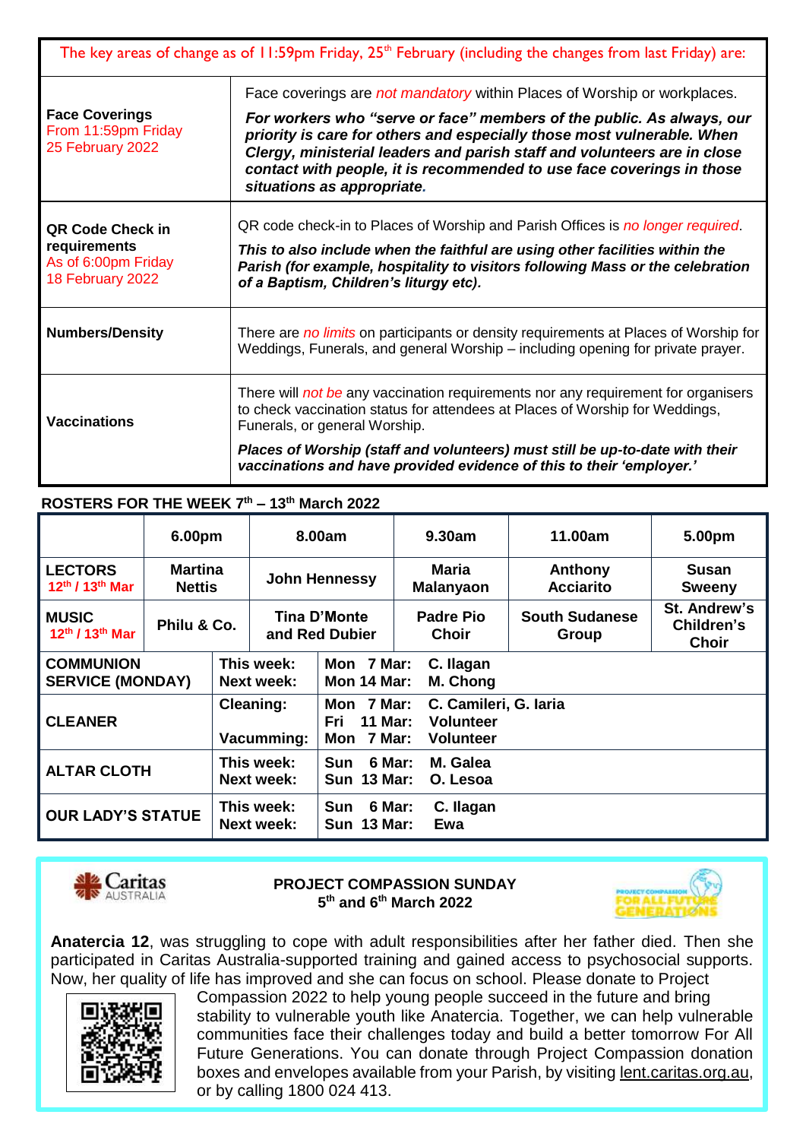| The key areas of change as of 11:59pm Friday, 25 <sup>th</sup> February (including the changes from last Friday) are: |                                                                                                                                                                                                                                                                                                                                                                                                                       |  |  |  |  |
|-----------------------------------------------------------------------------------------------------------------------|-----------------------------------------------------------------------------------------------------------------------------------------------------------------------------------------------------------------------------------------------------------------------------------------------------------------------------------------------------------------------------------------------------------------------|--|--|--|--|
| <b>Face Coverings</b><br>From 11:59pm Friday<br>25 February 2022                                                      | Face coverings are <i>not mandatory</i> within Places of Worship or workplaces.<br>For workers who "serve or face" members of the public. As always, our<br>priority is care for others and especially those most vulnerable. When<br>Clergy, ministerial leaders and parish staff and volunteers are in close<br>contact with people, it is recommended to use face coverings in those<br>situations as appropriate. |  |  |  |  |
| <b>QR Code Check in</b><br>requirements<br>As of 6:00pm Friday<br>18 February 2022                                    | QR code check-in to Places of Worship and Parish Offices is no longer required.<br>This to also include when the faithful are using other facilities within the<br>Parish (for example, hospitality to visitors following Mass or the celebration<br>of a Baptism, Children's liturgy etc).                                                                                                                           |  |  |  |  |
| <b>Numbers/Density</b>                                                                                                | There are no limits on participants or density requirements at Places of Worship for<br>Weddings, Funerals, and general Worship – including opening for private prayer.                                                                                                                                                                                                                                               |  |  |  |  |
| <b>Vaccinations</b>                                                                                                   | There will not be any vaccination requirements nor any requirement for organisers<br>to check vaccination status for attendees at Places of Worship for Weddings,<br>Funerals, or general Worship.<br>Places of Worship (staff and volunteers) must still be up-to-date with their<br>vaccinations and have provided evidence of this to their 'employer.'                                                            |  |  |  |  |

## **ROSTERS FOR THE WEEK 7 th – 13th March 2022**

|                                                    | 6.00pm                          |                          | 8.00am                                                              |                                                    | 9.30am                                                        | 11.00am                        | 5.00pm                                     |
|----------------------------------------------------|---------------------------------|--------------------------|---------------------------------------------------------------------|----------------------------------------------------|---------------------------------------------------------------|--------------------------------|--------------------------------------------|
| <b>LECTORS</b><br>$12^{th}$ / 13 <sup>th</sup> Mar | <b>Martina</b><br><b>Nettis</b> |                          | John Hennessy                                                       |                                                    | <b>Maria</b><br><b>Malanyaon</b>                              | Anthony<br><b>Acciarito</b>    | <b>Susan</b><br><b>Sweeny</b>              |
| <b>MUSIC</b><br>$12^{th}$ / 13 <sup>th</sup> Mar   | Philu & Co.                     |                          | <b>Tina D'Monte</b><br>and Red Dubier                               |                                                    | <b>Padre Pio</b><br><b>Choir</b>                              | <b>South Sudanese</b><br>Group | St. Andrew's<br>Children's<br><b>Choir</b> |
| <b>COMMUNION</b><br><b>SERVICE (MONDAY)</b>        |                                 |                          | This week:<br>Mon 7 Mar:<br><b>Mon 14 Mar:</b><br><b>Next week:</b> |                                                    | C. Ilagan<br>M. Chong                                         |                                |                                            |
| <b>CLEANER</b>                                     |                                 |                          | <b>Cleaning:</b><br>Vacumming:                                      | Mon 7 Mar:<br><b>11 Mar:</b><br>Fri.<br>Mon 7 Mar: | C. Camileri, G. Iaria<br><b>Volunteer</b><br><b>Volunteer</b> |                                |                                            |
| <b>ALTAR CLOTH</b>                                 |                                 | This week:<br>Next week: | 6 Mar:<br><b>Sun</b><br><b>Sun 13 Mar:</b>                          | M. Galea<br>O. Lesoa                               |                                                               |                                |                                            |
| <b>OUR LADY'S STATUE</b>                           |                                 |                          | This week:<br><b>Next week:</b>                                     | 6 Mar:<br><b>Sun</b><br><b>Sun 13 Mar:</b>         | C. Ilagan<br>Ewa                                              |                                |                                            |



### **PROJECT COMPASSION SUNDAY 5 th and 6th March 2022**



**Anatercia 12**, was struggling to cope with adult responsibilities after her father died. Then she participated in Caritas Australia-supported training and gained access to psychosocial supports. Now, her quality of life has improved and she can focus on school. Please donate to Project



Compassion 2022 to help young people succeed in the future and bring stability to vulnerable youth like Anatercia. Together, we can help vulnerable communities face their challenges today and build a better tomorrow For All Future Generations. You can donate through Project Compassion donation boxes and envelopes available from your Parish, by visiting lent.caritas.org.au, or by calling 1800 024 413.